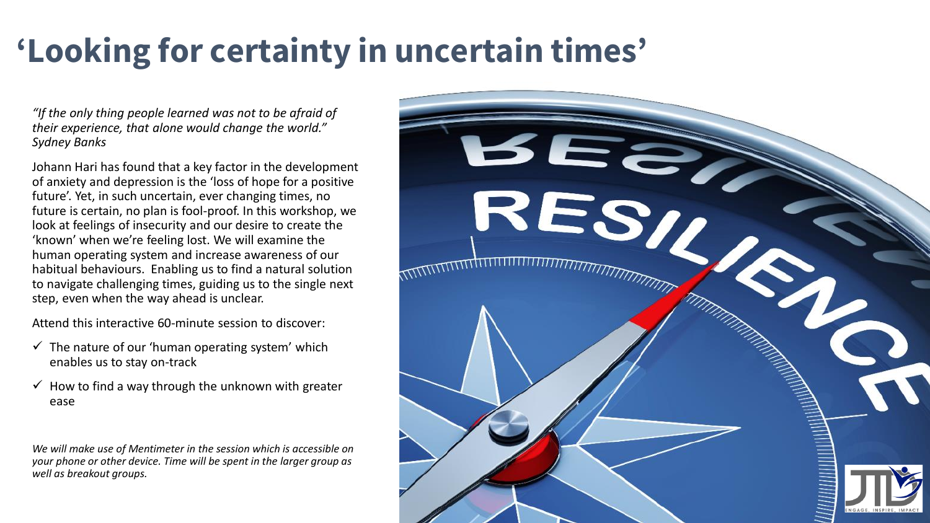## **'Looking for certainty in uncertain times'**

*"If the only thing people learned was not to be afraid of their experience, that alone would change the world." Sydney Banks*

Johann Hari has found that a key factor in the development of anxiety and depression is the 'loss of hope for a positive future'. Yet, in such uncertain, ever changing times, no future is certain, no plan is fool-proof. In this workshop, we look at feelings of insecurity and our desire to create the 'known' when we're feeling lost. We will examine the human operating system and increase awareness of our habitual behaviours. Enabling us to find a natural solution to navigate challenging times, guiding us to the single next step, even when the way ahead is unclear.

Attend this interactive 60-minute session to discover:

- $\checkmark$  The nature of our 'human operating system' which enables us to stay on-track
- $\checkmark$  How to find a way through the unknown with greater ease

*We will make use of Mentimeter in the session which is accessible on your phone or other device. Time will be spent in the larger group as well as breakout groups.*